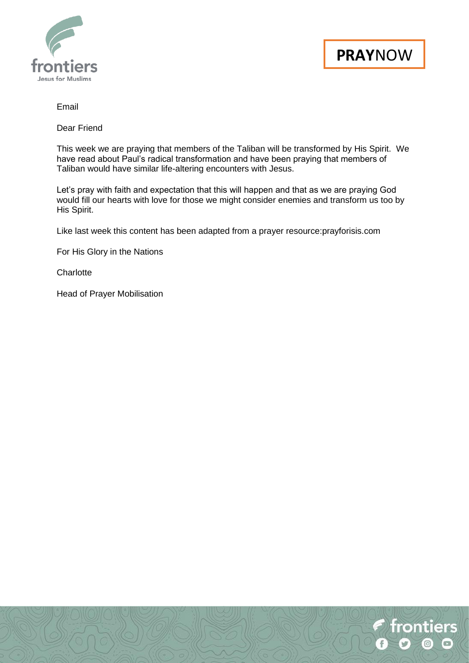



### Email

Dear Friend

This week we are praying that members of the Taliban will be transformed by His Spirit. We have read about Paul's radical transformation and have been praying that members of Taliban would have similar life-altering encounters with Jesus.

Let's pray with faith and expectation that this will happen and that as we are praying God would fill our hearts with love for those we might consider enemies and transform us too by His Spirit.

Like last week this content has been adapted from a prayer resource:prayforisis.com

For His Glory in the Nations

**Charlotte** 

Head of Prayer Mobilisation

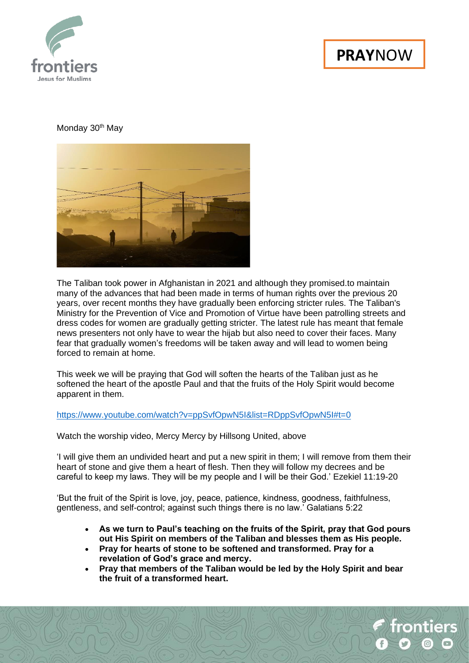

rontiers

# Monday 30<sup>th</sup> May



The Taliban took power in Afghanistan in 2021 and although they promised.to maintain many of the advances that had been made in terms of human rights over the previous 20 years, over recent months they have gradually been enforcing stricter rules. The Taliban's Ministry for the Prevention of Vice and Promotion of Virtue have been patrolling streets and dress codes for women are gradually getting stricter. The latest rule has meant that female news presenters not only have to wear the hijab but also need to cover their faces. Many fear that gradually women's freedoms will be taken away and will lead to women being forced to remain at home.

This week we will be praying that God will soften the hearts of the Taliban just as he softened the heart of the apostle Paul and that the fruits of the Holy Spirit would become apparent in them.

#### <https://www.youtube.com/watch?v=ppSvfOpwN5I&list=RDppSvfOpwN5I#t=0>

Watch the worship video, Mercy Mercy by Hillsong United, above

'I will give them an undivided heart and put a new spirit in them; I will remove from them their heart of stone and give them a heart of flesh. Then they will follow my decrees and be careful to keep my laws. They will be my people and I will be their God.' Ezekiel 11:19-20

'But the fruit of the Spirit is love, joy, peace, patience, kindness, goodness, faithfulness, gentleness, and self-control; against such things there is no law.' Galatians 5:22

- **As we turn to Paul's teaching on the fruits of the Spirit, pray that God pours out His Spirit on members of the Taliban and blesses them as His people.**
- **Pray for hearts of stone to be softened and transformed. Pray for a revelation of God's grace and mercy.**
- **Pray that members of the Taliban would be led by the Holy Spirit and bear the fruit of a transformed heart.**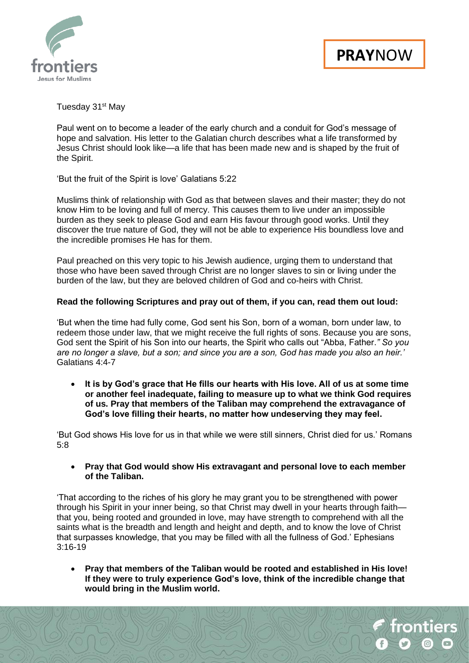



Tuesday 31<sup>st</sup> May

Paul went on to become a leader of the early church and a conduit for God's message of hope and salvation. His letter to the Galatian church describes what a life transformed by Jesus Christ should look like—a life that has been made new and is shaped by the fruit of the Spirit.

'But the fruit of the Spirit is love' Galatians 5:22

Muslims think of relationship with God as that between slaves and their master; they do not know Him to be loving and full of mercy. This causes them to live under an impossible burden as they seek to please God and earn His favour through good works. Until they discover the true nature of God, they will not be able to experience His boundless love and the incredible promises He has for them.

Paul preached on this very topic to his Jewish audience, urging them to understand that those who have been saved through Christ are no longer slaves to sin or living under the burden of the law, but they are beloved children of God and co-heirs with Christ.

## **Read the following Scriptures and pray out of them, if you can, read them out loud:**

'But when the time had fully come, God sent his Son, born of a woman, born under law, to redeem those under law, that we might receive the full rights of sons. Because you are sons, God sent the Spirit of his Son into our hearts, the Spirit who calls out "Abba, Father.*" So you are no longer a slave, but a son; and since you are a son, God has made you also an heir.'* Galatians 4:4-7

• **It is by God's grace that He fills our hearts with His love. All of us at some time or another feel inadequate, failing to measure up to what we think God requires of us. Pray that members of the Taliban may comprehend the extravagance of God's love filling their hearts, no matter how undeserving they may feel.**

'But God shows His love for us in that while we were still sinners, Christ died for us.' Romans 5:8

• **Pray that God would show His extravagant and personal love to each member of the Taliban.**

'That according to the riches of his glory he may grant you to be strengthened with power through his Spirit in your inner being, so that Christ may dwell in your hearts through faith that you, being rooted and grounded in love, may have strength to comprehend with all the saints what is the breadth and length and height and depth, and to know the love of Christ that surpasses knowledge, that you may be filled with all the fullness of God.' Ephesians 3:16-19

• **Pray that members of the Taliban would be rooted and established in His love! If they were to truly experience God's love, think of the incredible change that would bring in the Muslim world.**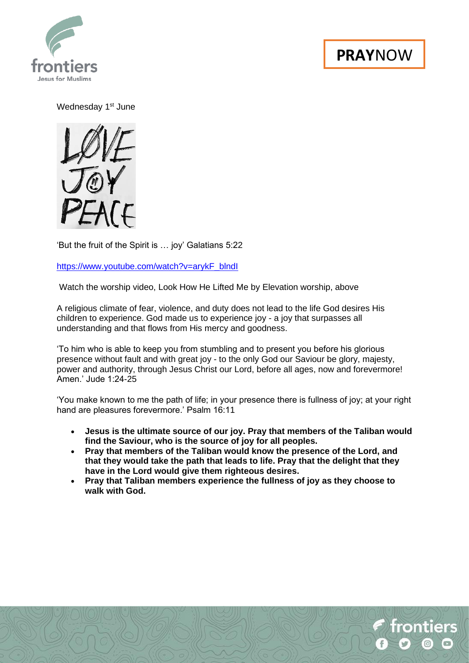

frontiers

Wednesday 1<sup>st</sup> June

FALE

'But the fruit of the Spirit is … joy' Galatians 5:22

[https://www.youtube.com/watch?v=arykF\\_blndI](https://www.youtube.com/watch?v=arykF_blndI)

Watch the worship video, Look How He Lifted Me by Elevation worship, above

A religious climate of fear, violence, and duty does not lead to the life God desires His children to experience. God made us to experience joy - a joy that surpasses all understanding and that flows from His mercy and goodness.

'To him who is able to keep you from stumbling and to present you before his glorious presence without fault and with great joy - to the only God our Saviour be glory, majesty, power and authority, through Jesus Christ our Lord, before all ages, now and forevermore! Amen.' Jude 1:24-25

'You make known to me the path of life; in your presence there is fullness of joy; at your right hand are pleasures forevermore.' Psalm 16:11

- **Jesus is the ultimate source of our joy. Pray that members of the Taliban would find the Saviour, who is the source of joy for all peoples.**
- **Pray that members of the Taliban would know the presence of the Lord, and that they would take the path that leads to life. Pray that the delight that they have in the Lord would give them righteous desires.**
- **Pray that Taliban members experience the fullness of joy as they choose to walk with God.**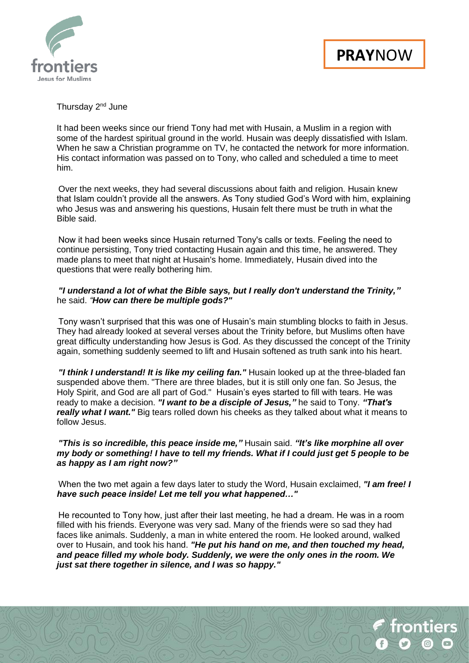

### Thursday 2<sup>nd</sup> June

It had been weeks since our friend Tony had met with Husain, a Muslim in a region with some of the hardest spiritual ground in the world. Husain was deeply dissatisfied with Islam. When he saw a Christian programme on TV, he contacted the network for more information. His contact information was passed on to Tony, who called and scheduled a time to meet him.

Over the next weeks, they had several discussions about faith and religion. Husain knew that Islam couldn't provide all the answers. As Tony studied God's Word with him, explaining who Jesus was and answering his questions, Husain felt there must be truth in what the Bible said.

 Now it had been weeks since Husain returned Tony's calls or texts. Feeling the need to continue persisting, Tony tried contacting Husain again and this time, he answered. They made plans to meet that night at Husain's home. Immediately, Husain dived into the questions that were really bothering him.

#### *"I understand a lot of what the Bible says, but I really don't understand the Trinity,"* he said. *"How can there be multiple gods?"*

 Tony wasn't surprised that this was one of Husain's main stumbling blocks to faith in Jesus. They had already looked at several verses about the Trinity before, but Muslims often have great difficulty understanding how Jesus is God. As they discussed the concept of the Trinity again, something suddenly seemed to lift and Husain softened as truth sank into his heart.

*"I think I understand! It is like my ceiling fan."* Husain looked up at the three-bladed fan suspended above them. "There are three blades, but it is still only one fan. So Jesus, the Holy Spirit, and God are all part of God." Husain's eyes started to fill with tears. He was ready to make a decision. *"I want to be a disciple of Jesus,"* he said to Tony. *"That's really what I want."* Big tears rolled down his cheeks as they talked about what it means to follow Jesus.

## *"This is so incredible, this peace inside me,"* Husain said. *"It's like morphine all over my body or something! I have to tell my friends. What if I could just get 5 people to be as happy as I am right now?"*

 When the two met again a few days later to study the Word, Husain exclaimed, *"I am free! I have such peace inside! Let me tell you what happened…"*

 He recounted to Tony how, just after their last meeting, he had a dream. He was in a room filled with his friends. Everyone was very sad. Many of the friends were so sad they had faces like animals. Suddenly, a man in white entered the room. He looked around, walked over to Husain, and took his hand. *"He put his hand on me, and then touched my head, and peace filled my whole body. Suddenly, we were the only ones in the room. We just sat there together in silence, and I was so happy."*

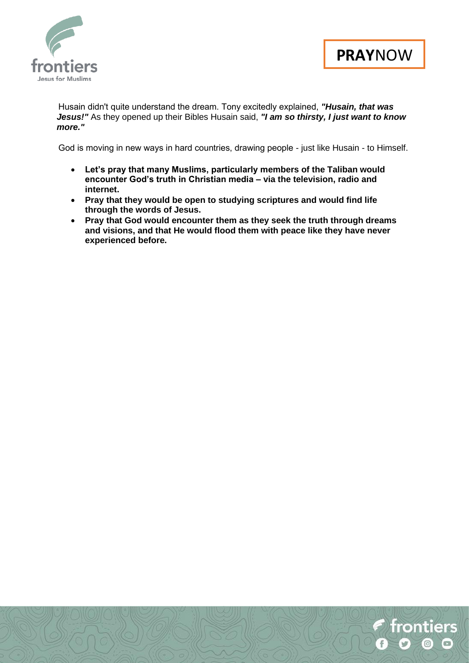



frontiers

 Husain didn't quite understand the dream. Tony excitedly explained, *"Husain, that was Jesus!"* As they opened up their Bibles Husain said, *"I am so thirsty, I just want to know more."*

 God is moving in new ways in hard countries, drawing people - just like Husain - to Himself.

- **Let's pray that many Muslims, particularly members of the Taliban would encounter God's truth in Christian media – via the television, radio and internet.**
- **Pray that they would be open to studying scriptures and would find life through the words of Jesus.**
- **Pray that God would encounter them as they seek the truth through dreams and visions, and that He would flood them with peace like they have never experienced before.**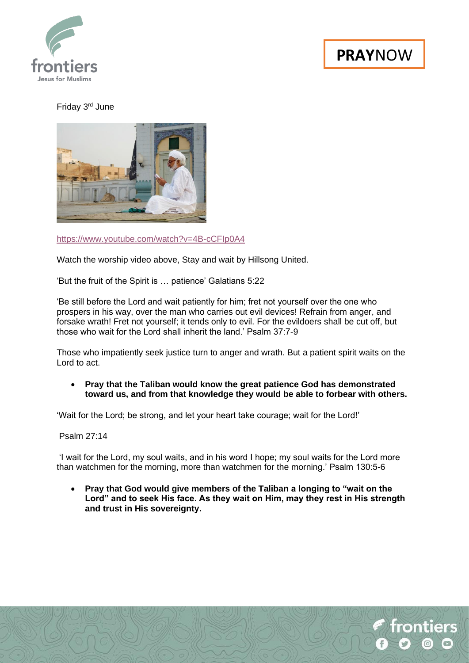

rontiers

Friday 3rd June



<https://www.youtube.com/watch?v=4B-cCFIp0A4>

Watch the worship video above, Stay and wait by Hillsong United.

'But the fruit of the Spirit is … patience' Galatians 5:22

'Be still before the Lord and wait patiently for him; fret not yourself over the one who prospers in his way, over the man who carries out evil devices! Refrain from anger, and forsake wrath! Fret not yourself; it tends only to evil. For the evildoers shall be cut off, but those who wait for the Lord shall inherit the land.' Psalm 37:7-9

Those who impatiently seek justice turn to anger and wrath. But a patient spirit waits on the Lord to act.

• **Pray that the Taliban would know the great patience God has demonstrated toward us, and from that knowledge they would be able to forbear with others.**

'Wait for the Lord; be strong, and let your heart take courage; wait for the Lord!'

Psalm 27:14

'I wait for the Lord, my soul waits, and in his word I hope; my soul waits for the Lord more than watchmen for the morning, more than watchmen for the morning.' Psalm 130:5-6

• **Pray that God would give members of the Taliban a longing to "wait on the Lord" and to seek His face. As they wait on Him, may they rest in His strength and trust in His sovereignty.**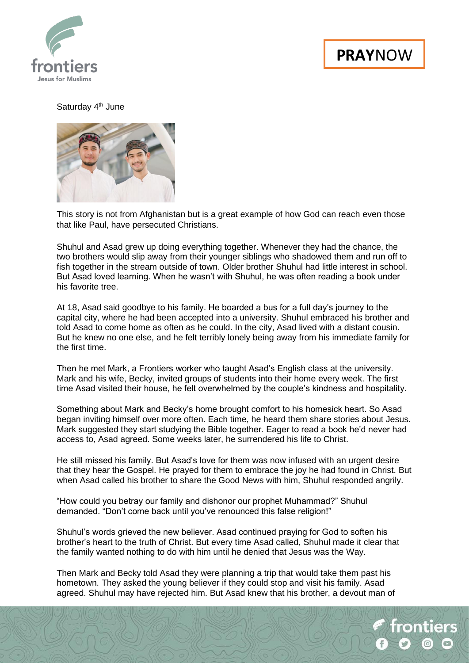

### Saturday 4<sup>th</sup> June



This story is not from Afghanistan but is a great example of how God can reach even those that like Paul, have persecuted Christians.

Shuhul and Asad grew up doing everything together. Whenever they had the chance, the two brothers would slip away from their younger siblings who shadowed them and run off to fish together in the stream outside of town. Older brother Shuhul had little interest in school. But Asad loved learning. When he wasn't with Shuhul, he was often reading a book under his favorite tree.

At 18, Asad said goodbye to his family. He boarded a bus for a full day's journey to the capital city, where he had been accepted into a university. Shuhul embraced his brother and told Asad to come home as often as he could. In the city, Asad lived with a distant cousin. But he knew no one else, and he felt terribly lonely being away from his immediate family for the first time.

Then he met Mark, a Frontiers worker who taught Asad's English class at the university. Mark and his wife, Becky, invited groups of students into their home every week. The first time Asad visited their house, he felt overwhelmed by the couple's kindness and hospitality.

Something about Mark and Becky's home brought comfort to his homesick heart. So Asad began inviting himself over more often. Each time, he heard them share stories about Jesus. Mark suggested they start studying the Bible together. Eager to read a book he'd never had access to, Asad agreed. Some weeks later, he surrendered his life to Christ.

He still missed his family. But Asad's love for them was now infused with an urgent desire that they hear the Gospel. He prayed for them to embrace the joy he had found in Christ. But when Asad called his brother to share the Good News with him, Shuhul responded angrily.

"How could you betray our family and dishonor our prophet Muhammad?" Shuhul demanded. "Don't come back until you've renounced this false religion!"

Shuhul's words grieved the new believer. Asad continued praying for God to soften his brother's heart to the truth of Christ. But every time Asad called, Shuhul made it clear that the family wanted nothing to do with him until he denied that Jesus was the Way.

Then Mark and Becky told Asad they were planning a trip that would take them past his hometown. They asked the young believer if they could stop and visit his family. Asad agreed. Shuhul may have rejected him. But Asad knew that his brother, a devout man of